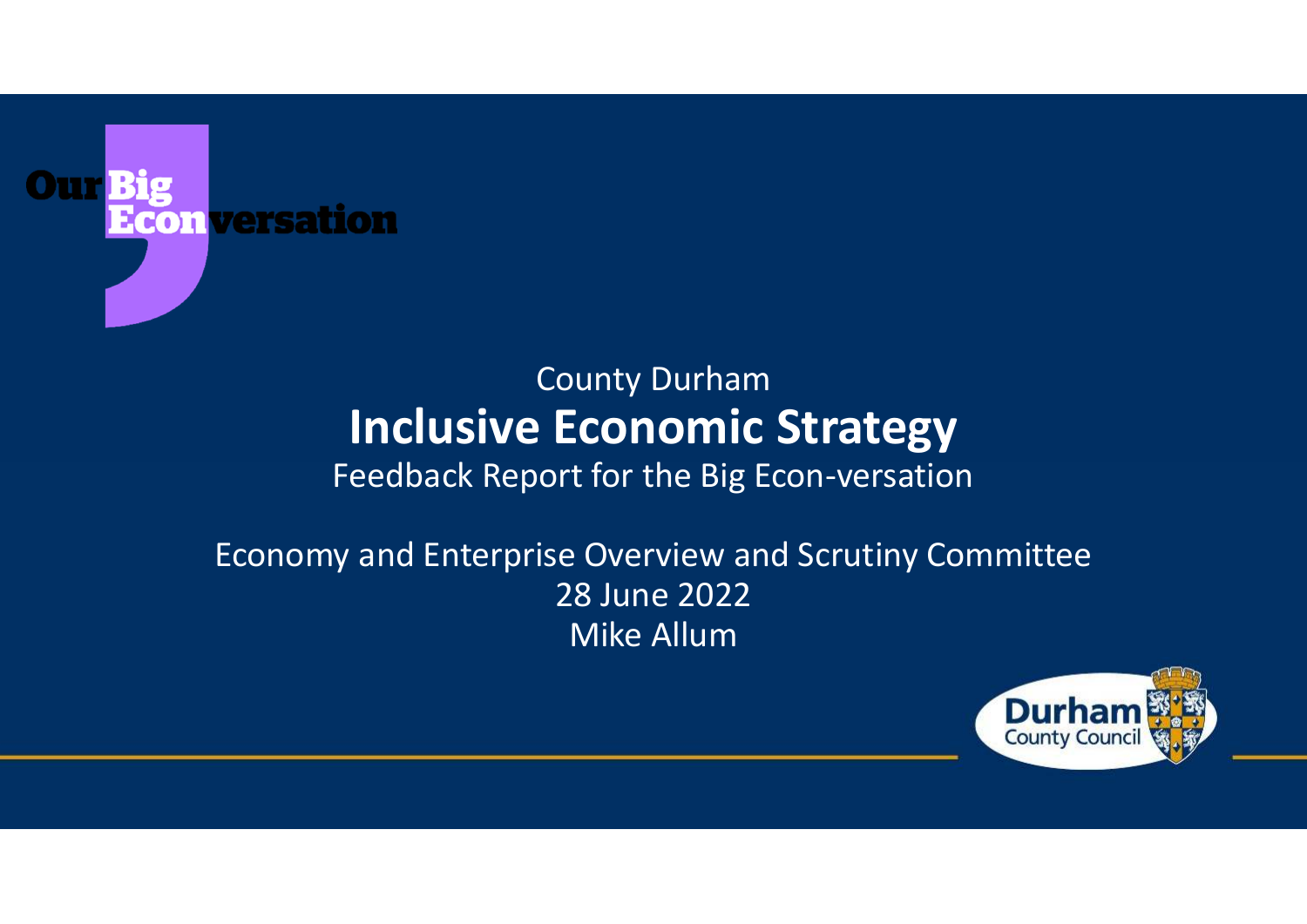

#### County Durham**Inclusive Economic Strategy**

#### Feedback Report for the Big Econ-versation

#### Economy and Enterprise Overview and Scrutiny Committee28 June 2022Mike Allum

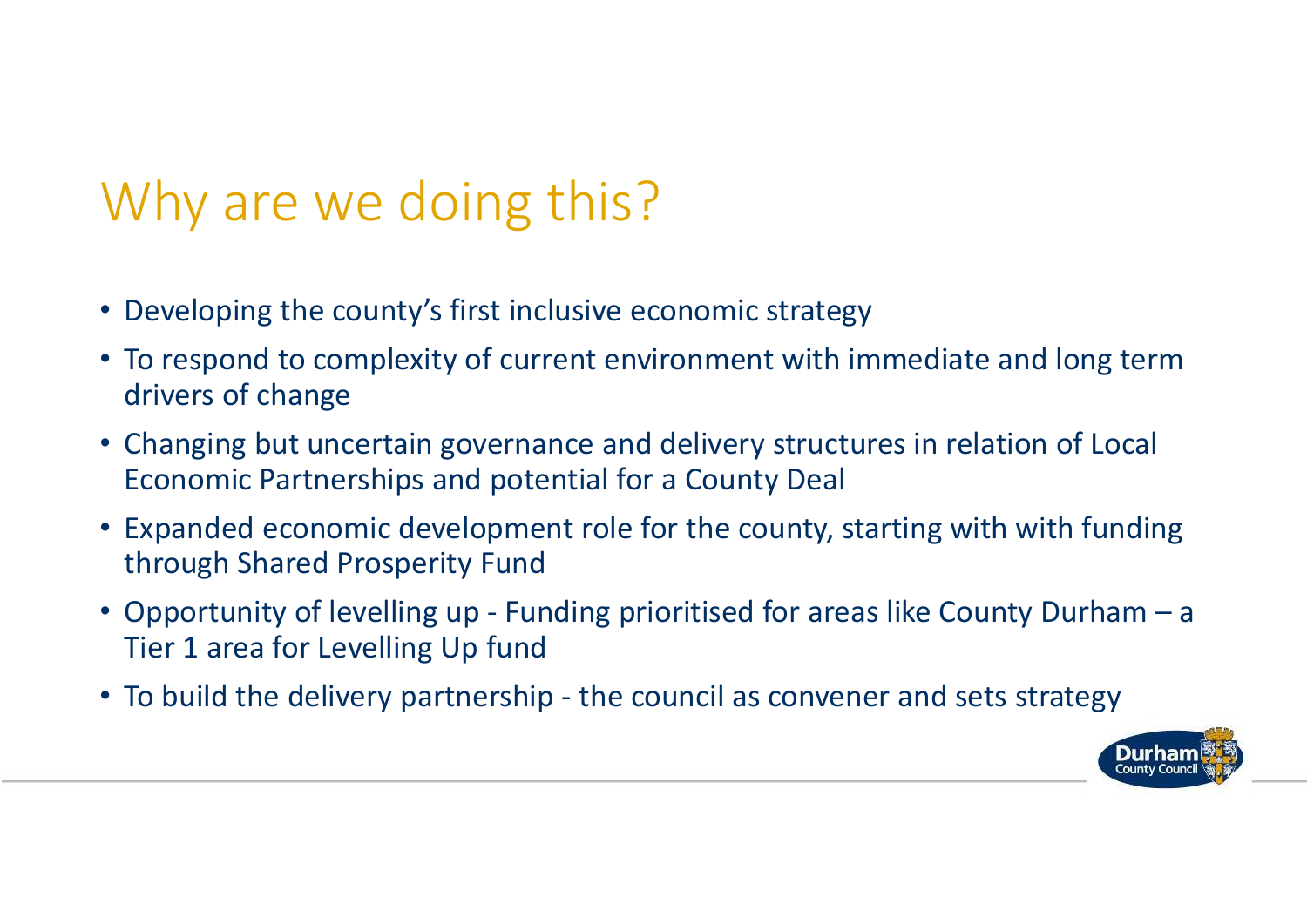# Why are we doing this?

- Developing the county's first inclusive economic strategy
- To respond to complexity of current environment with immediate and long term drivers of change
- Changing but uncertain governance and delivery structures in relation of Local Economic Partnerships and potential for a County Deal
- Expanded economic development role for the county, starting with with funding through Shared Prosperity Fund
- Opportunity of levelling up Funding prioritised for areas like County Durham a Tier 1 area for Levelling Up fund
- To build the delivery partnership the council as convener and sets strategy

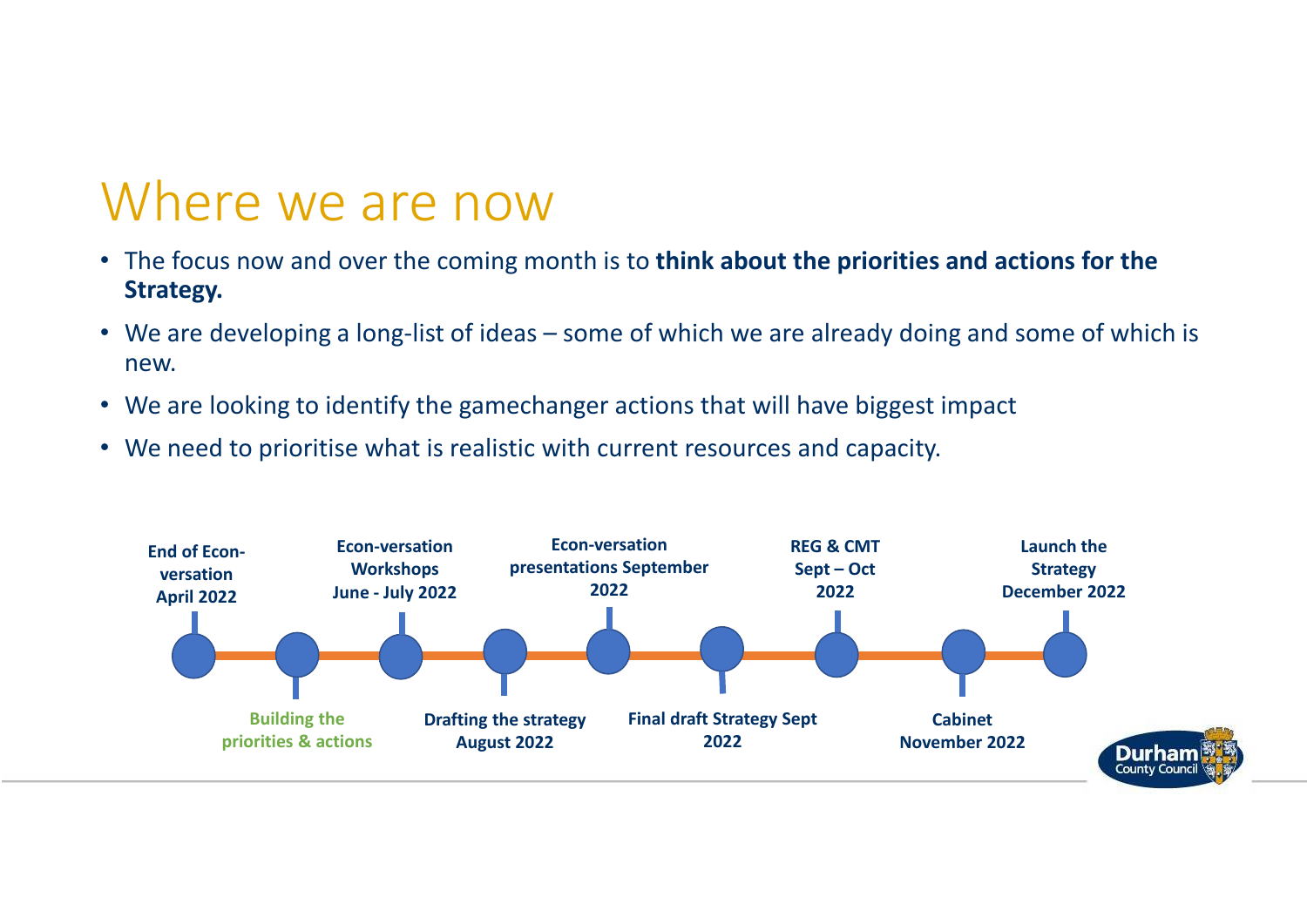#### Where we are now

- The focus now and over the coming month is to **think about the priorities and actions for the Strategy.**
- We are developing a long-list of ideas some of which we are already doing and some of which is new.
- We are looking to identify the gamechanger actions that will have biggest impact
- We need to prioritise what is realistic with current resources and capacity.

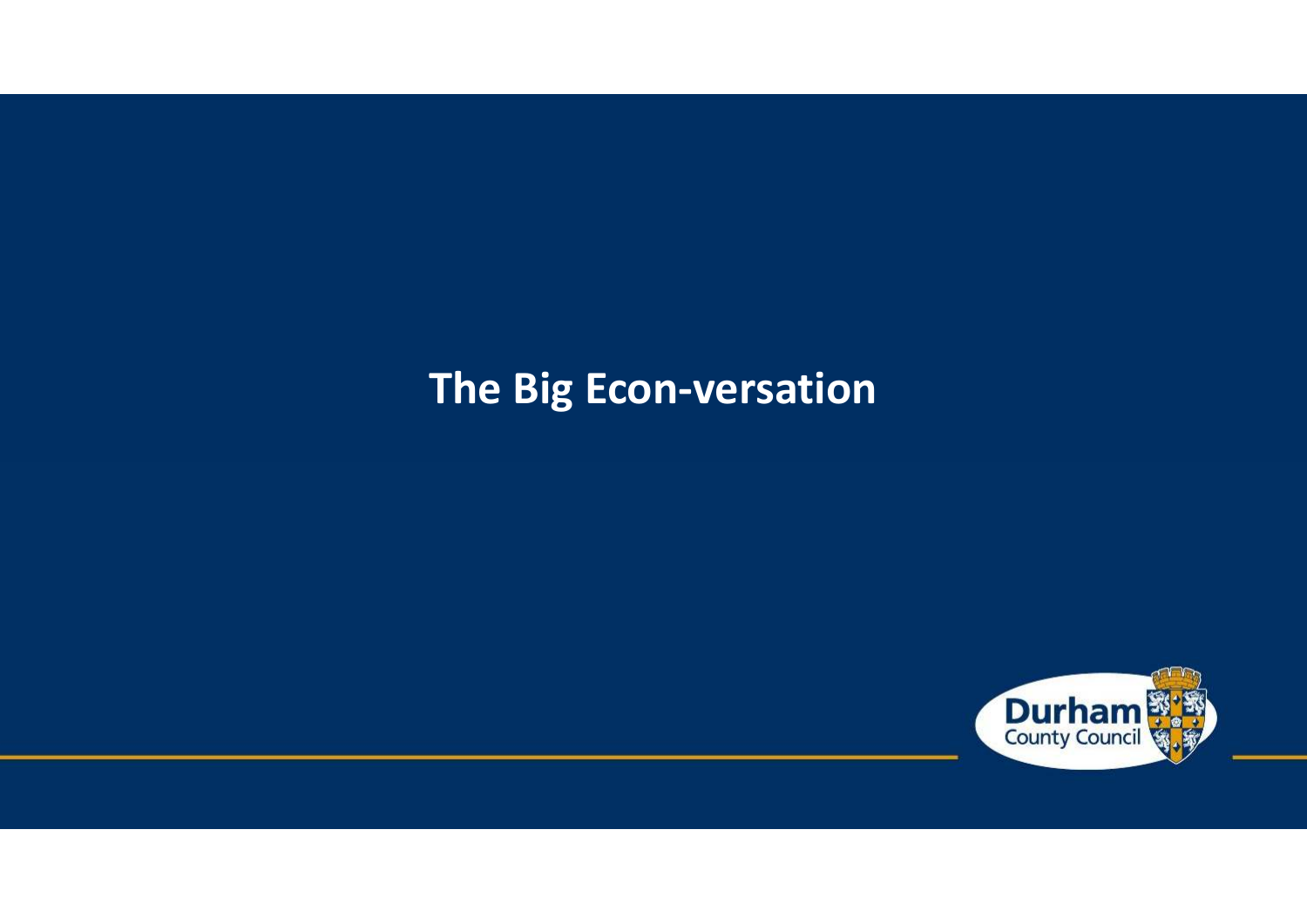#### **The Big Econ-versation**

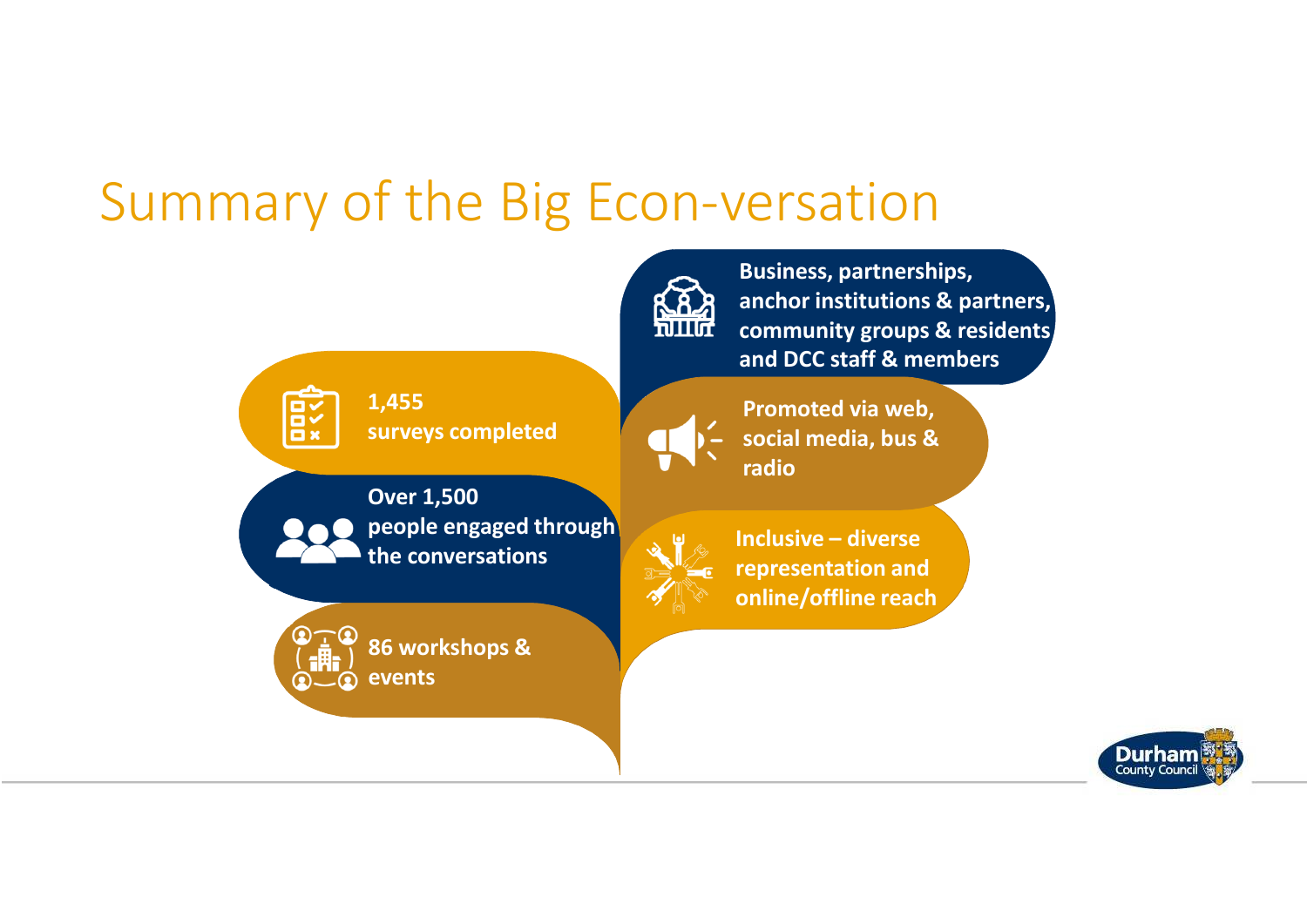### Summary of the Big Econ-versation



**Business, partnerships, anchor institutions & partners, community groups & residents and DCC staff & members**



**surveys completed**



**Promoted via web, social media, bus & radio**



**Over 1,500 people engaged through the conversations**



**86 workshops &** 



**Inclusive – diverse representation and online/offline reach**

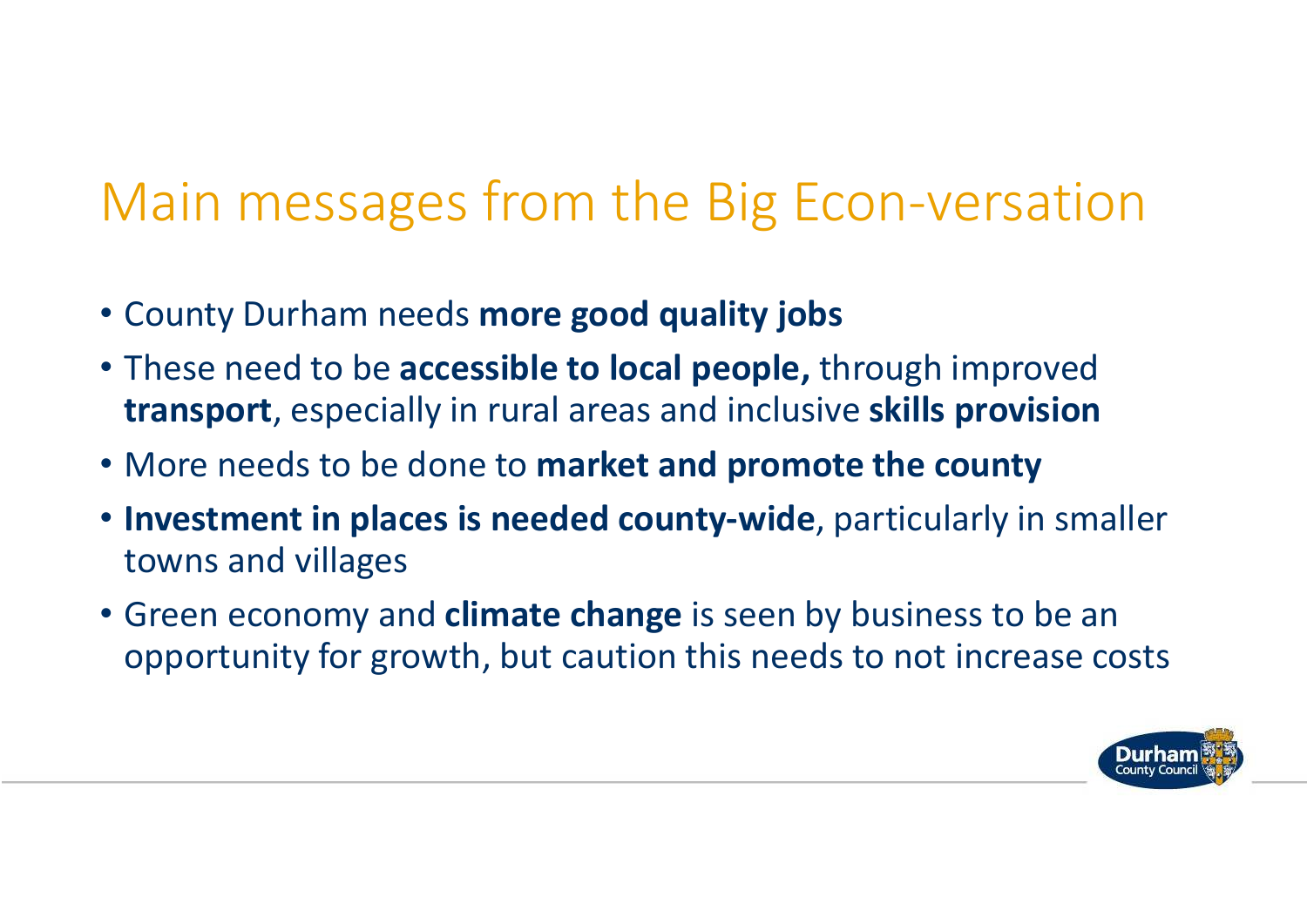# Main messages from the Big Econ-versation

- County Durham needs **more good quality jobs**
- These need to be **accessible to local people,** through improved **transport**, especially in rural areas and inclusive **skills provision**
- More needs to be done to **market and promote the county**
- **Investment in places is needed county-wide**, particularly in smaller towns and villages
- Green economy and **climate change** is seen by business to be an opportunity for growth, but caution this needs to not increase costs

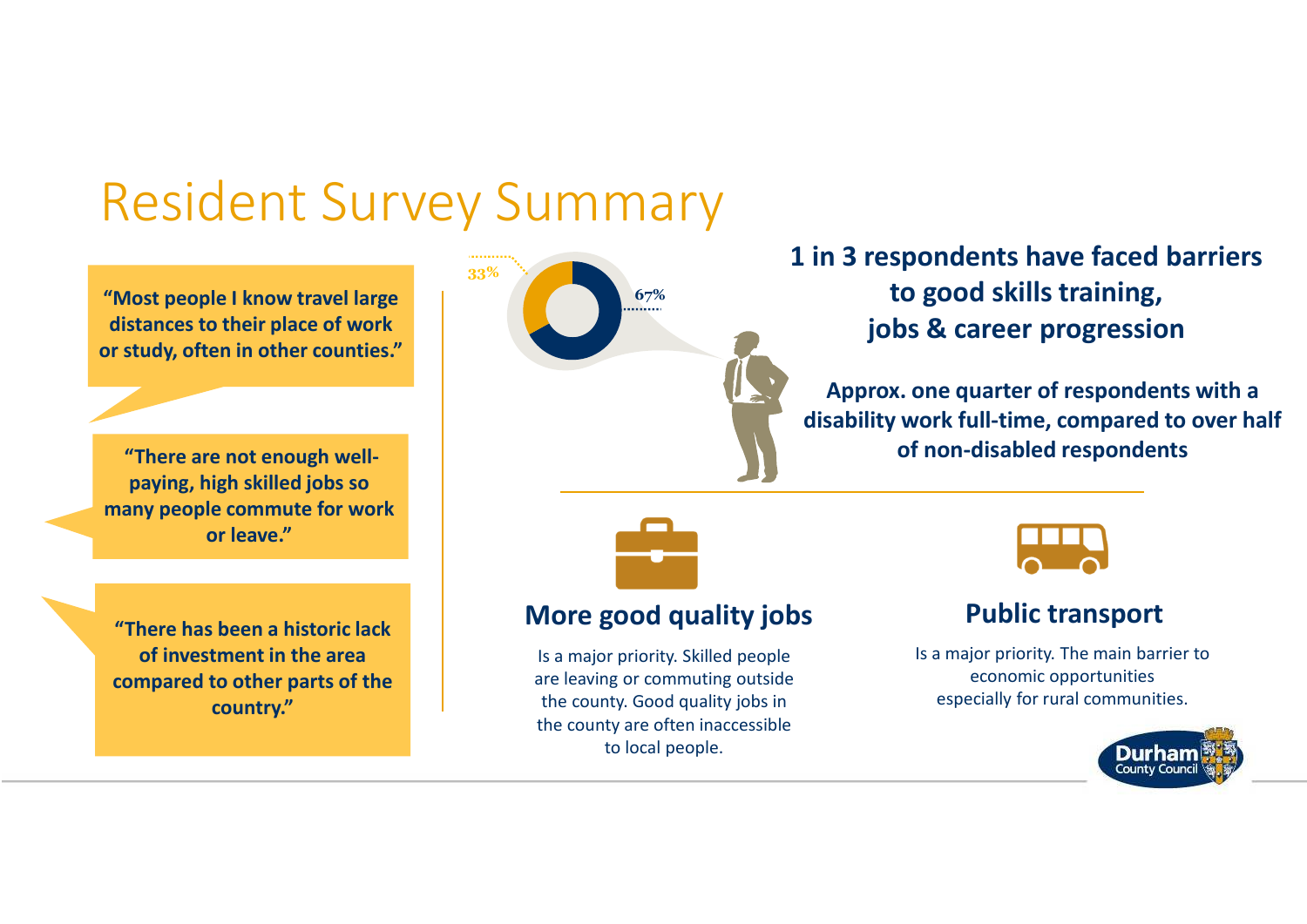### Resident Survey Summary

**"Most people I know travel large distances to their place of work or study, often in other counties."**

**"There are not enough wellpaying, high skilled jobs so many people commute for work or leave."** 

**"There has been a historic lack of investment in the area compared to other parts of the country."**



#### **1 in 3 respondents have faced barriers to good skills training, jobs & career progression**

**Approx. one quarter of respondents with a disability work full-time, compared to over half of non-disabled respondents** 



#### **More good quality jobs**

Is a major priority. Skilled people are leaving or commuting outside the county. Good quality jobs in the county are often inaccessible to local people.



#### **Public transport**

Is a major priority. The main barrier to economic opportunitiesespecially for rural communities.

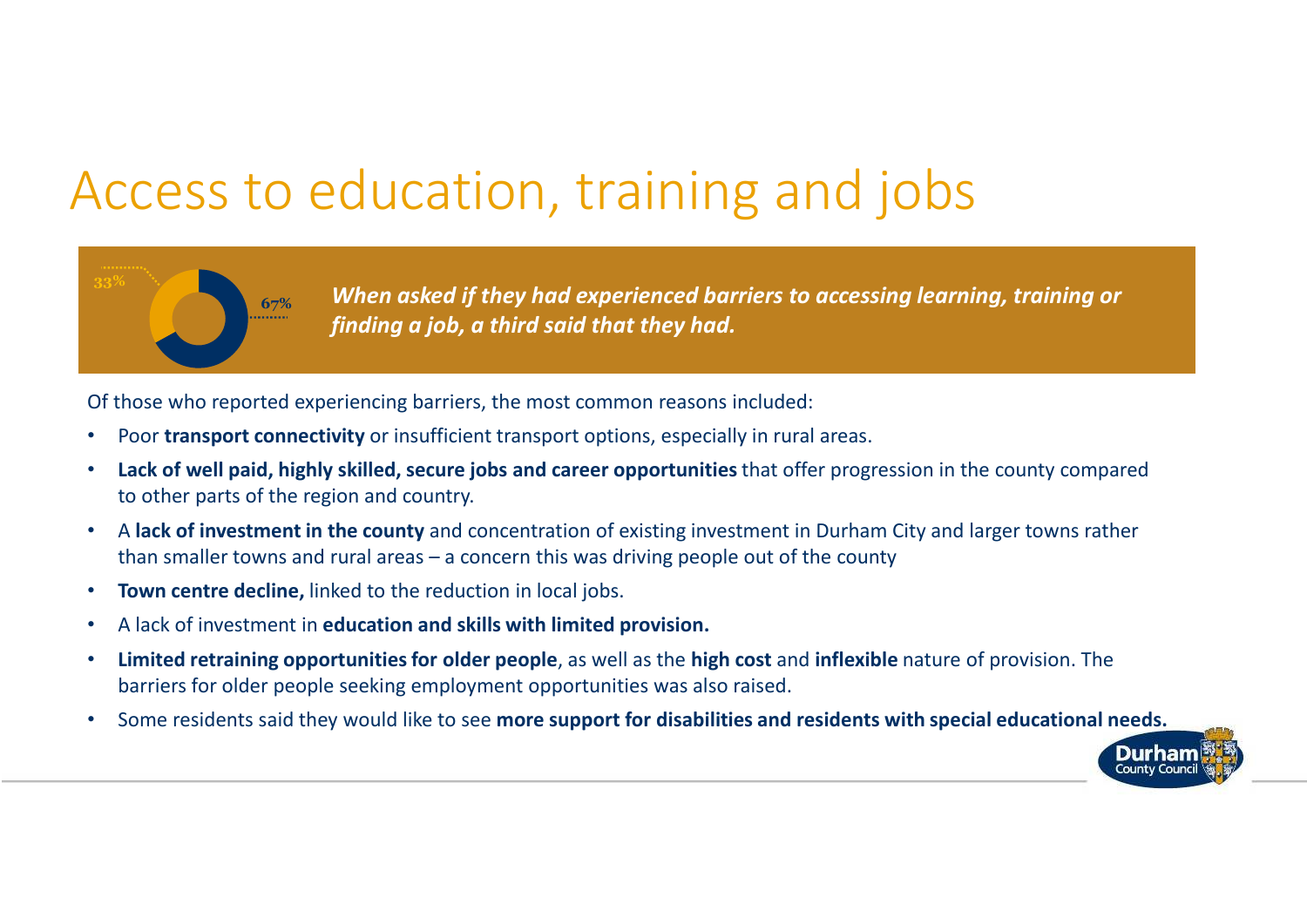### Access to education, training and jobs



*When asked if they had experienced barriers to accessing learning, training or finding a job, a third said that they had.*

Of those who reported experiencing barriers, the most common reasons included:

- •Poor **transport connectivity** or insufficient transport options, especially in rural areas.
- $\bullet$  **Lack of well paid, highly skilled, secure jobs and career opportunities** that offer progression in the county compared to other parts of the region and country.
- • <sup>A</sup>**lack of investment in the county** and concentration of existing investment in Durham City and larger towns rather than smaller towns and rural areas – a concern this was driving people out of the county
- •**Town centre decline,** linked to the reduction in local jobs.
- •A lack of investment in **education and skills with limited provision.**
- • **Limited retraining opportunities for older people**, as well as the **high cost** and **inflexible** nature of provision. The barriers for older people seeking employment opportunities was also raised.
- $\bullet$ Some residents said they would like to see **more support for disabilities and residents with special educational needs.**

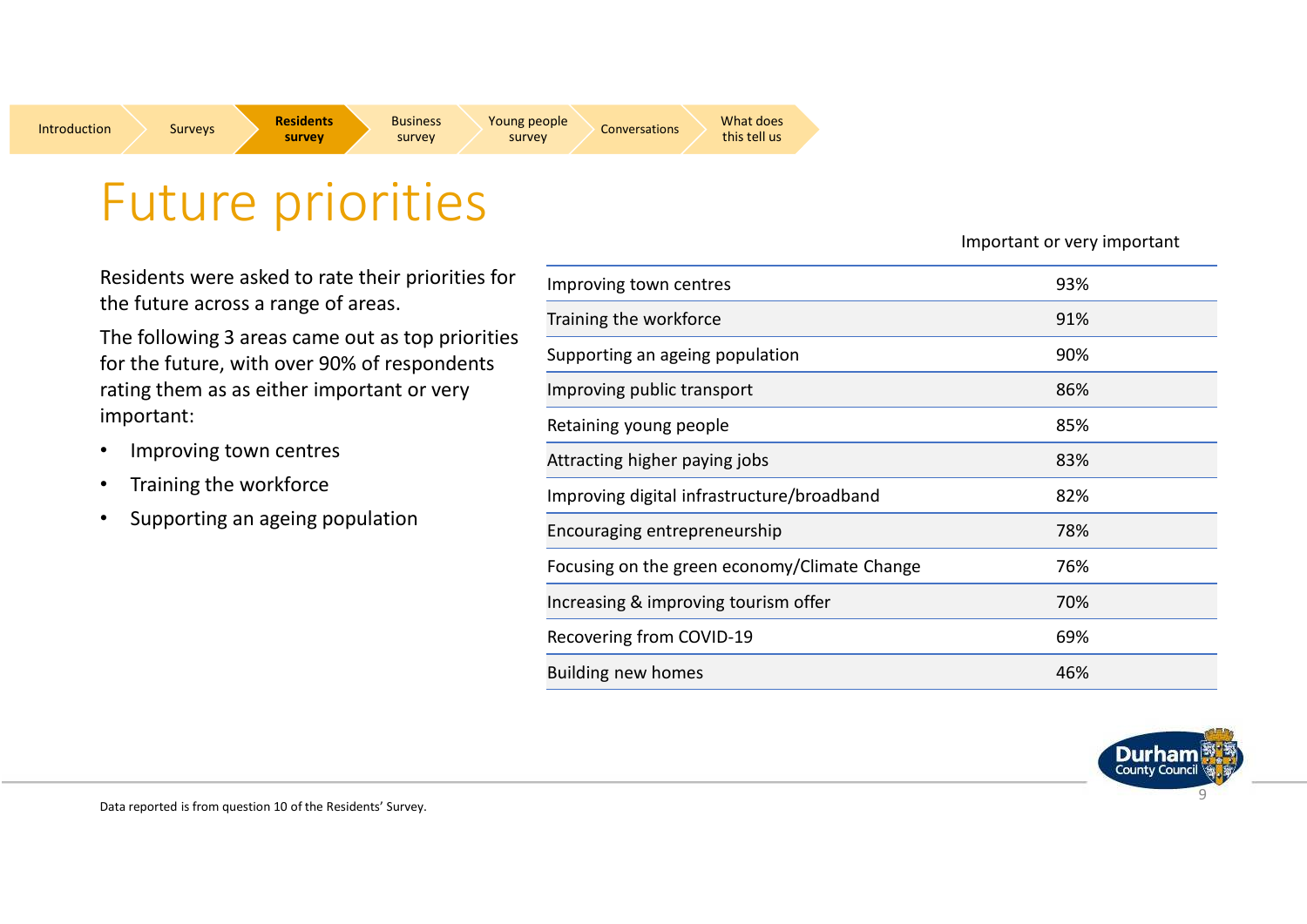

**Rusiness Survey Survey Survey Survey Survey Survey Survey Survey Survey Survey Survey Survey Survey Survey Survey Survey Survey Survey Survey Survey Survey Survey Survey Survey Survey Survey Survey Survey Survey Survey Su** 

Surveys **Residents survey**

Residents were asked to rate their priorities for the future across a range of areas.

The following 3 areas came out as top priorities for the future, with over 90% of respondents rating them as as either important or very important:

- •Improving town centres
- •Training the workforce
- •Supporting an ageing population

Important or very important

| Improving town centres                       | 93% |  |
|----------------------------------------------|-----|--|
| Training the workforce                       | 91% |  |
| Supporting an ageing population              | 90% |  |
| Improving public transport                   | 86% |  |
| Retaining young people                       | 85% |  |
| Attracting higher paying jobs                | 83% |  |
| Improving digital infrastructure/broadband   | 82% |  |
| Encouraging entrepreneurship                 | 78% |  |
| Focusing on the green economy/Climate Change | 76% |  |
| Increasing & improving tourism offer         | 70% |  |
| Recovering from COVID-19                     | 69% |  |
| <b>Building new homes</b>                    | 46% |  |

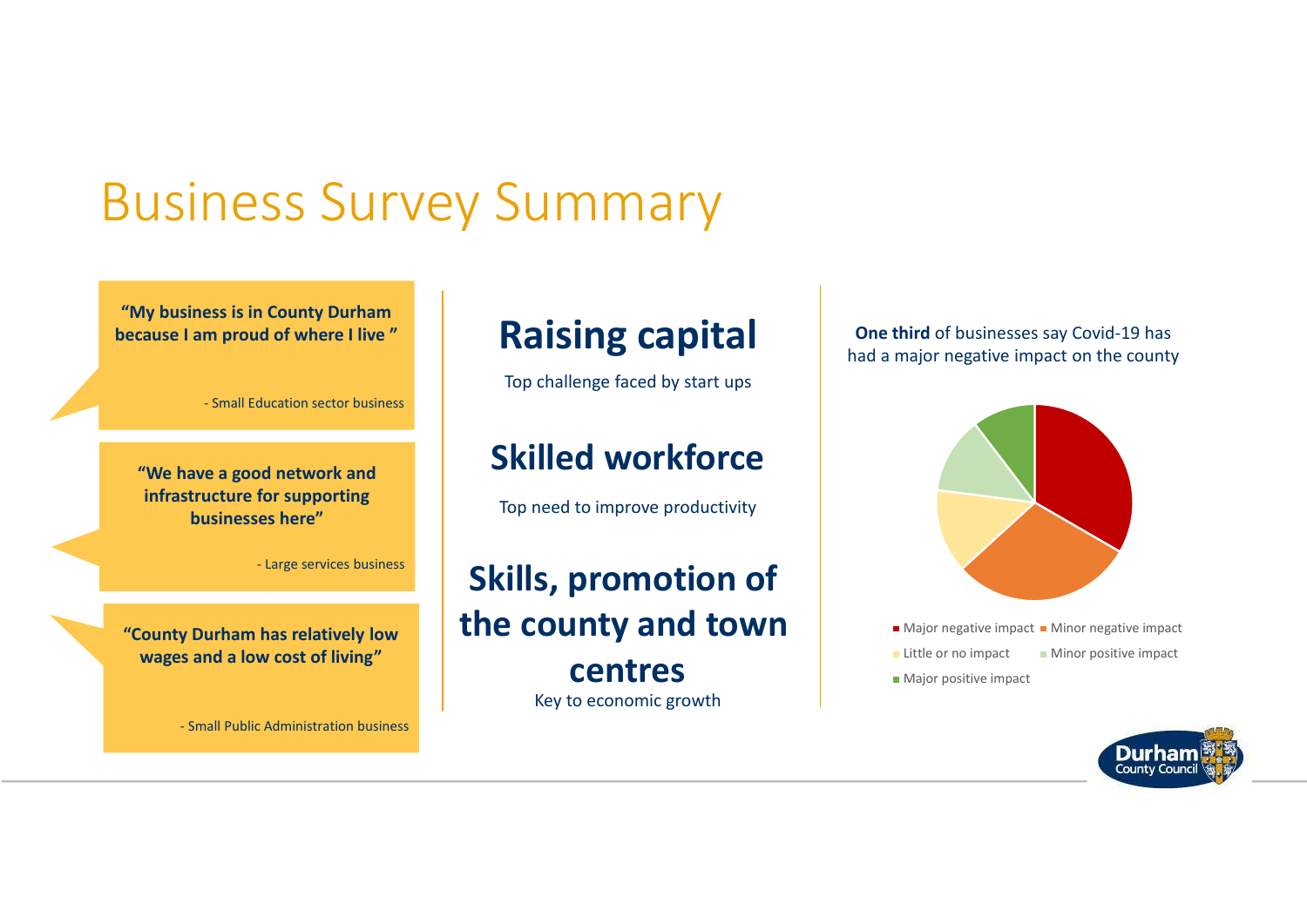### Business Survey Summary

**"My business is in County Durham because I am proud of where I live "**

- Small Education sector business

**"We have a good network and infrastructure for supporting businesses here"**

- Large services business

**"County Durham has relatively low wages and a low cost of living"**

- Small Public Administration business

#### **Raising capital**

Top challenge faced by start ups

#### **Skilled workforce**

Top need to improve productivity

#### **Skills, promotion of the county and town centres**Key to economic growth

**One third** of businesses say Covid-19 has had a major negative impact on the county



- Major negative impact Minor negative impact
- **Little or no impact Minor positive impact**
- **Major positive impact**

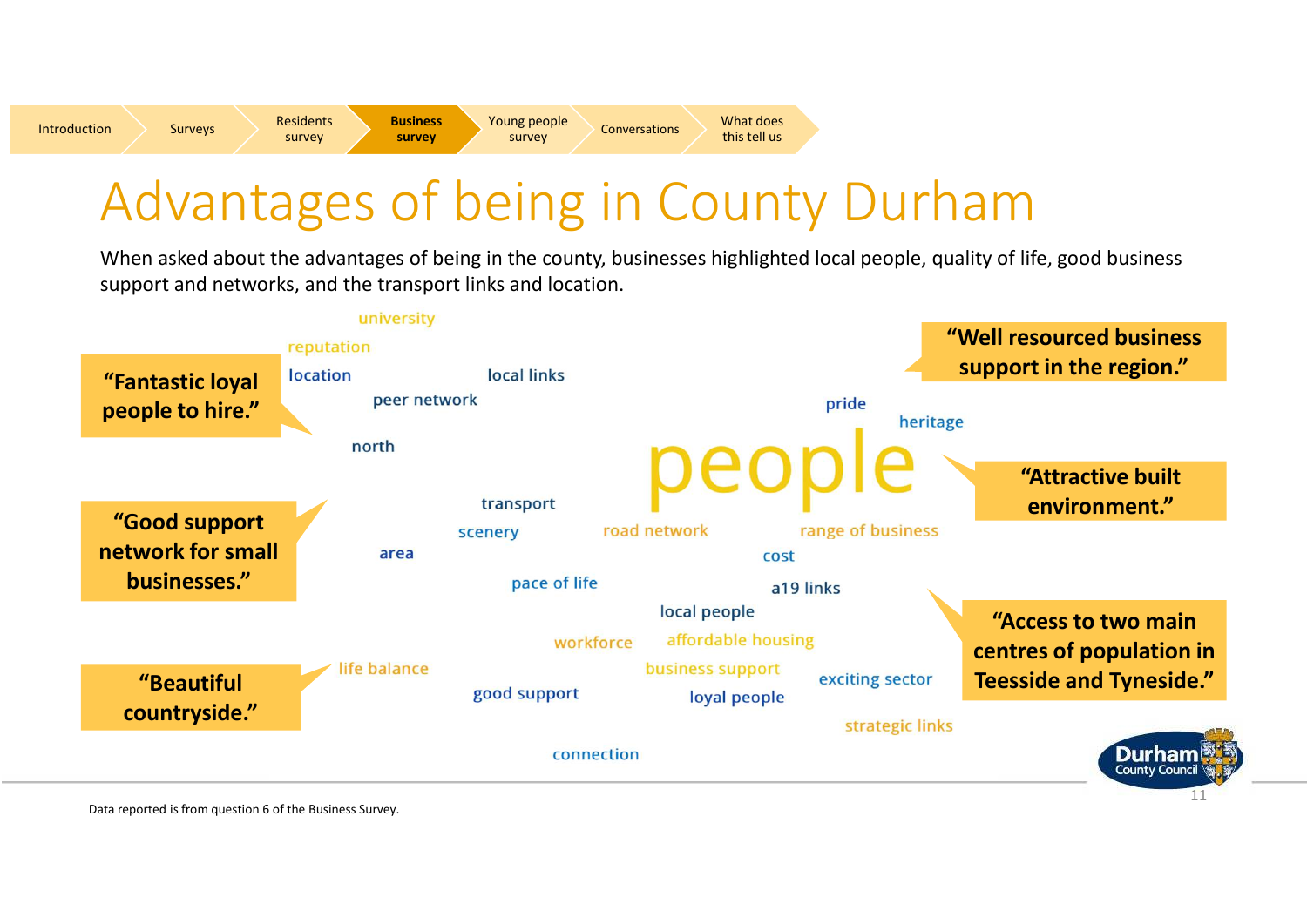### Advantages of being in County Durham

When asked about the advantages of being in the county, businesses highlighted local people, quality of life, good business support and networks, and the transport links and location.



Data reported is from question 6 of the Business Survey.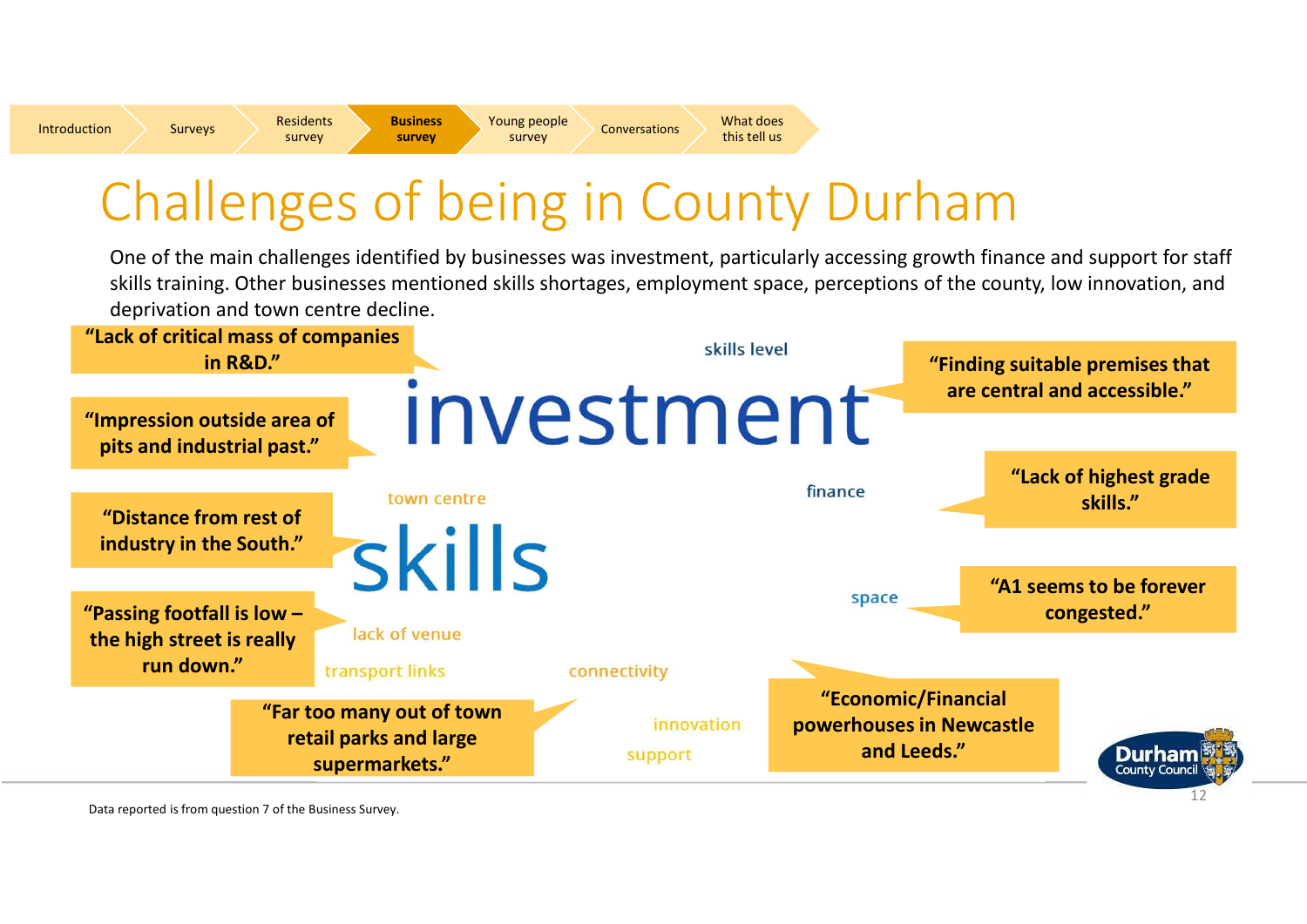**Residents**<br>Survey **Business** 

 $\begin{array}{c} \mathsf{y} \\ \mathsf{y} \end{array}$  Survey Survey Conversations  $\begin{array}{c} \mathsf{What does} \\ \mathsf{this} \ \mathsf{t} \end{array}$ 

# Challenges of being in County Durham

One of the main challenges identified by businesses was investment, particularly accessing growth finance and support for staff skills training. Other businesses mentioned skills shortages, employment space, perceptions of the county, low innovation, and deprivation and town centre decline.



Data reported is from question 7 of the Business Survey.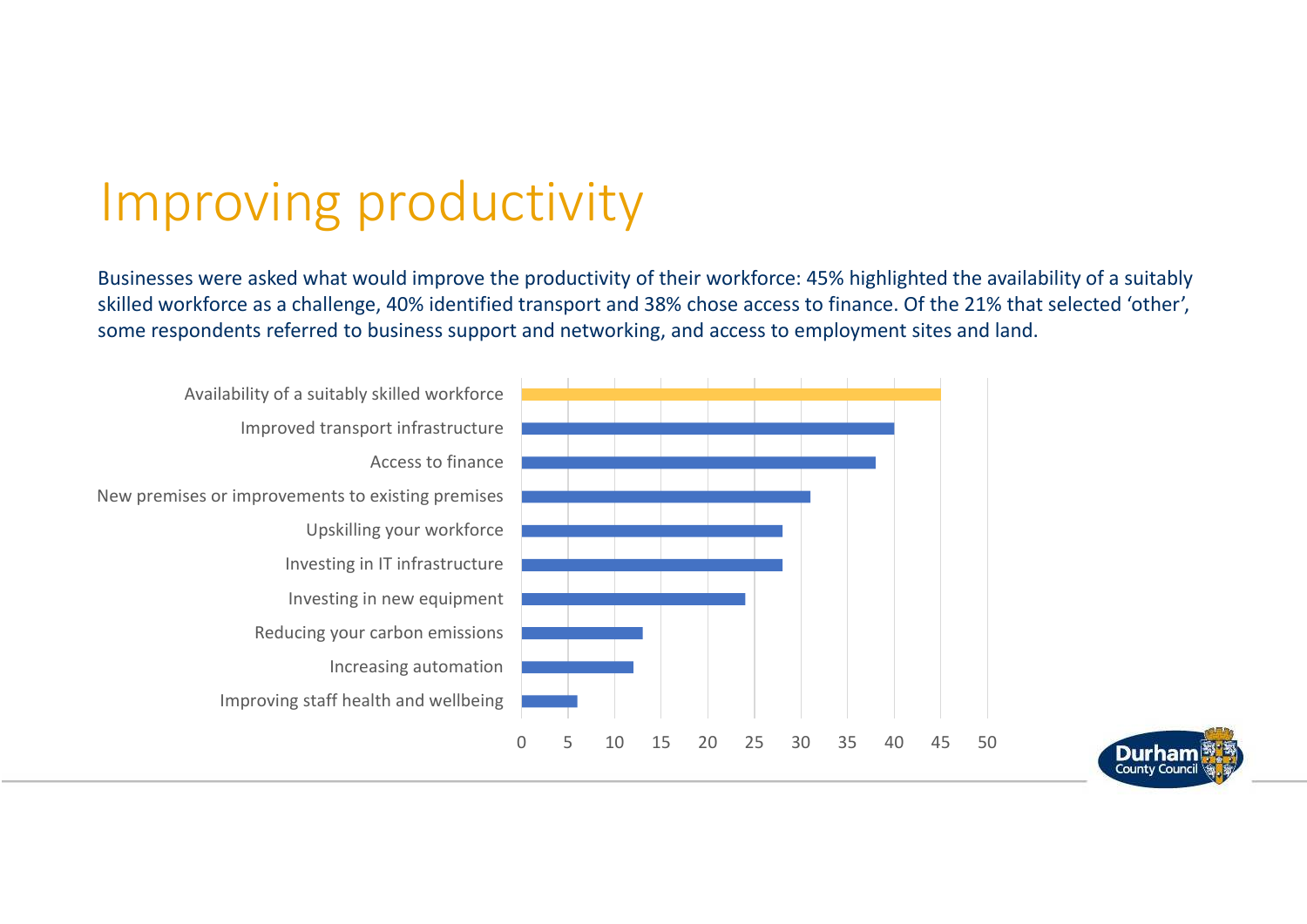# Improving productivity

Businesses were asked what would improve the productivity of their workforce: 45% highlighted the availability of a suitably skilled workforce as a challenge, 40% identified transport and 38% chose access to finance. Of the 21% that selected 'other',some respondents referred to business support and networking, and access to employment sites and land.



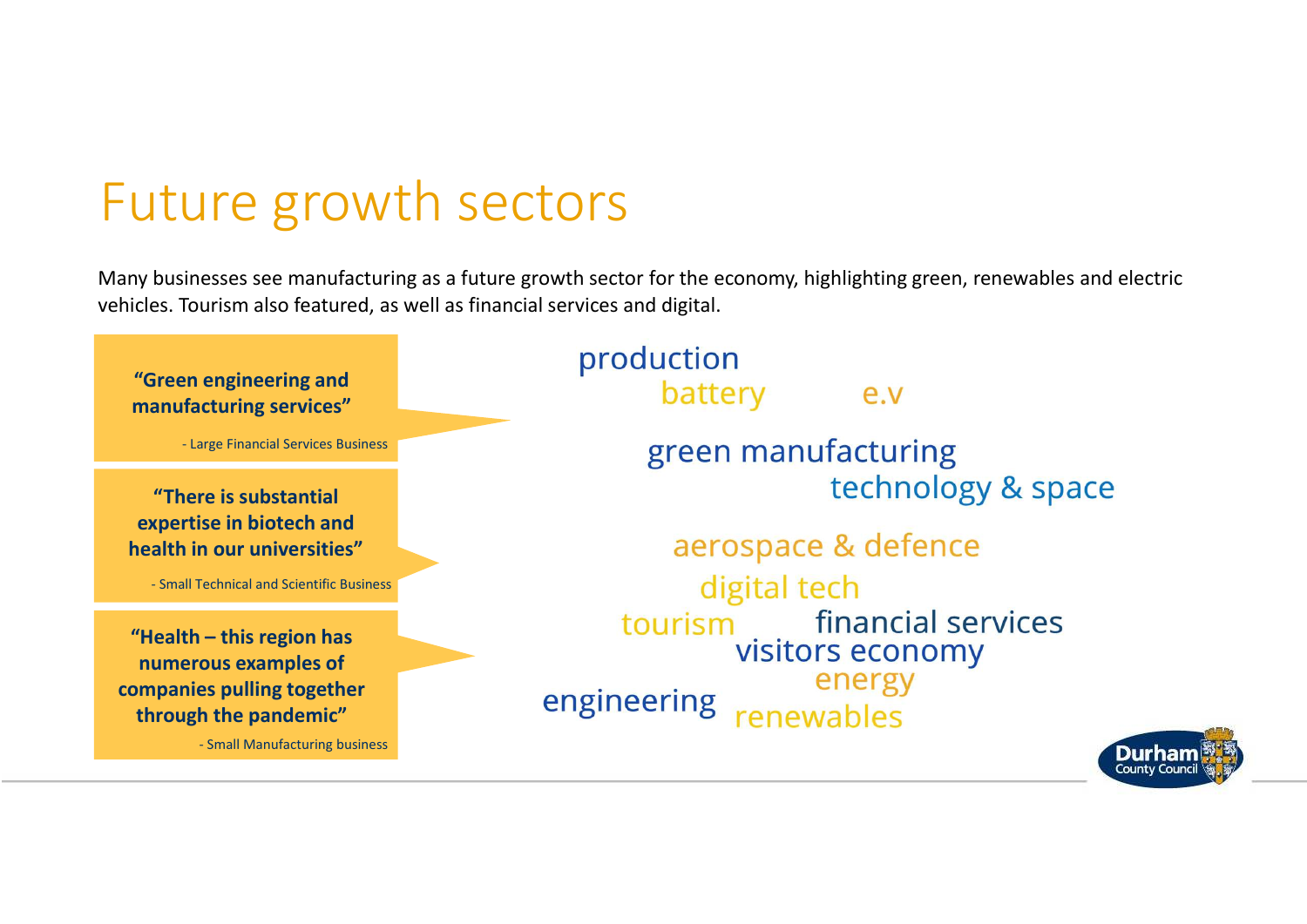# Future growth sectors

Many businesses see manufacturing as a future growth sector for the economy, highlighting green, renewables and electric vehicles. Tourism also featured, as well as financial services and digital.

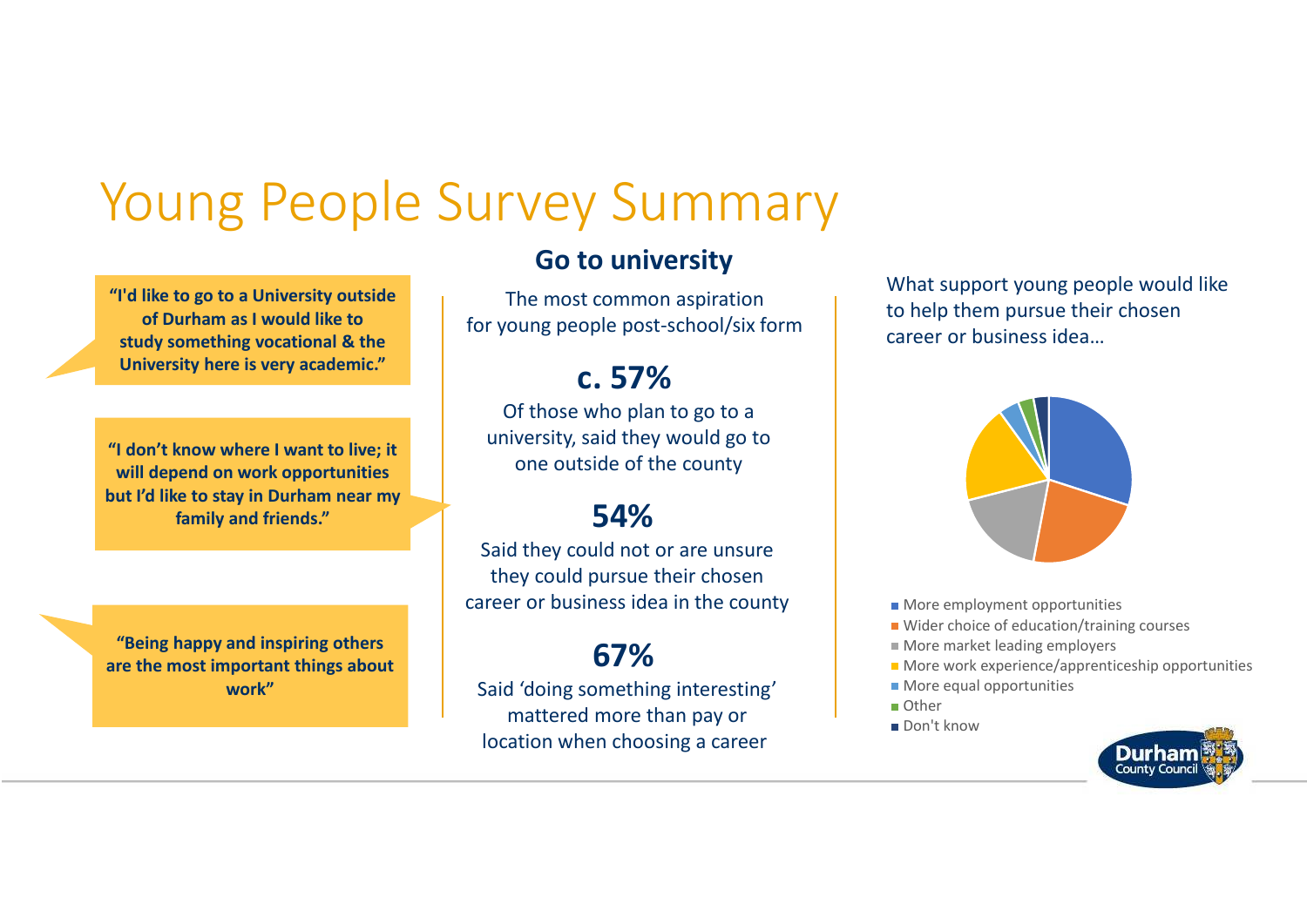### Young People Survey Summary

**"I'd like to go to a University outside of Durham as I would like to study something vocational & the University here is very academic."**

**"I don't know where I want to live; it will depend on work opportunities but I'd like to stay in Durham near my family and friends."**

**"Being happy and inspiring others are the most important things about work"**

#### **Go to university**

The most common aspiration for young people post-school/six form

#### **c. 57%**

 Of those who plan to go to a university, said they would go to one outside of the county

#### **54%**

 Said they could not or are unsure they could pursue their chosen career or business idea in the county

#### **67%**

 Said 'doing something interesting' mattered more than pay or location when choosing a career

What support young people would like to help them pursue their chosen career or business idea…



- **More employment opportunities**
- Wider choice of education/training courses
- More market leading employers
- More work experience/apprenticeship opportunities
- **More equal opportunities**
- Other
- Don't know

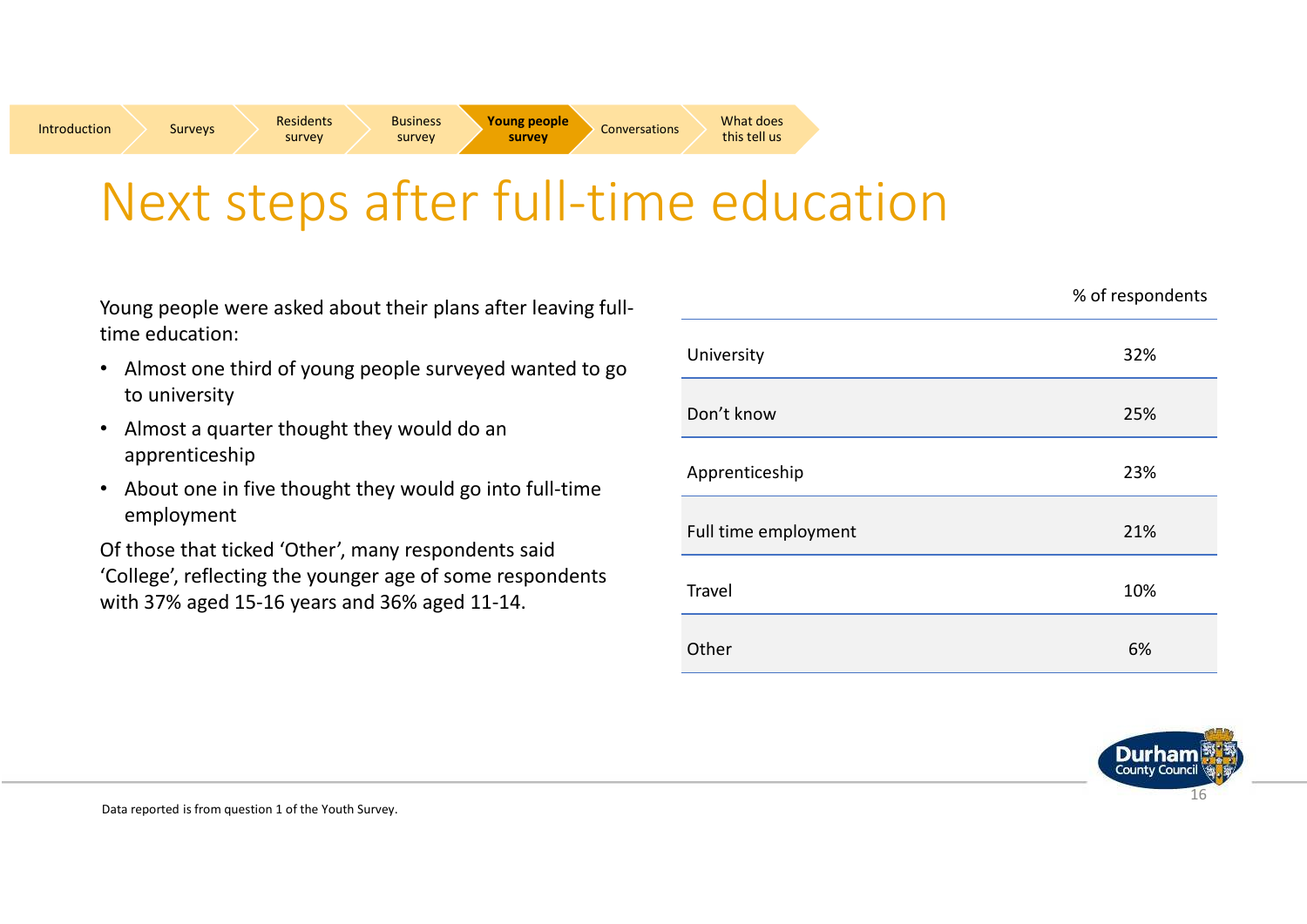Conversations What does

### Next steps after full-time education

Young people were asked about their plans after leaving fulltime education:

- Almost one third of young people surveyed wanted to go to university
- $\bullet$  Almost a quarter thought they would do an apprenticeship
- About one in five thought they would go into full-time employment

Of those that ticked 'Other', many respondents said 'College', reflecting the younger age of some respondents with 37% aged 15-16 years and 36% aged 11-14.

|                      | % of respondents |
|----------------------|------------------|
| University           | 32%              |
| Don't know           | 25%              |
| Apprenticeship       | 23%              |
| Full time employment | 21%              |
| <b>Travel</b>        | 10%              |
| Other                | 6%               |

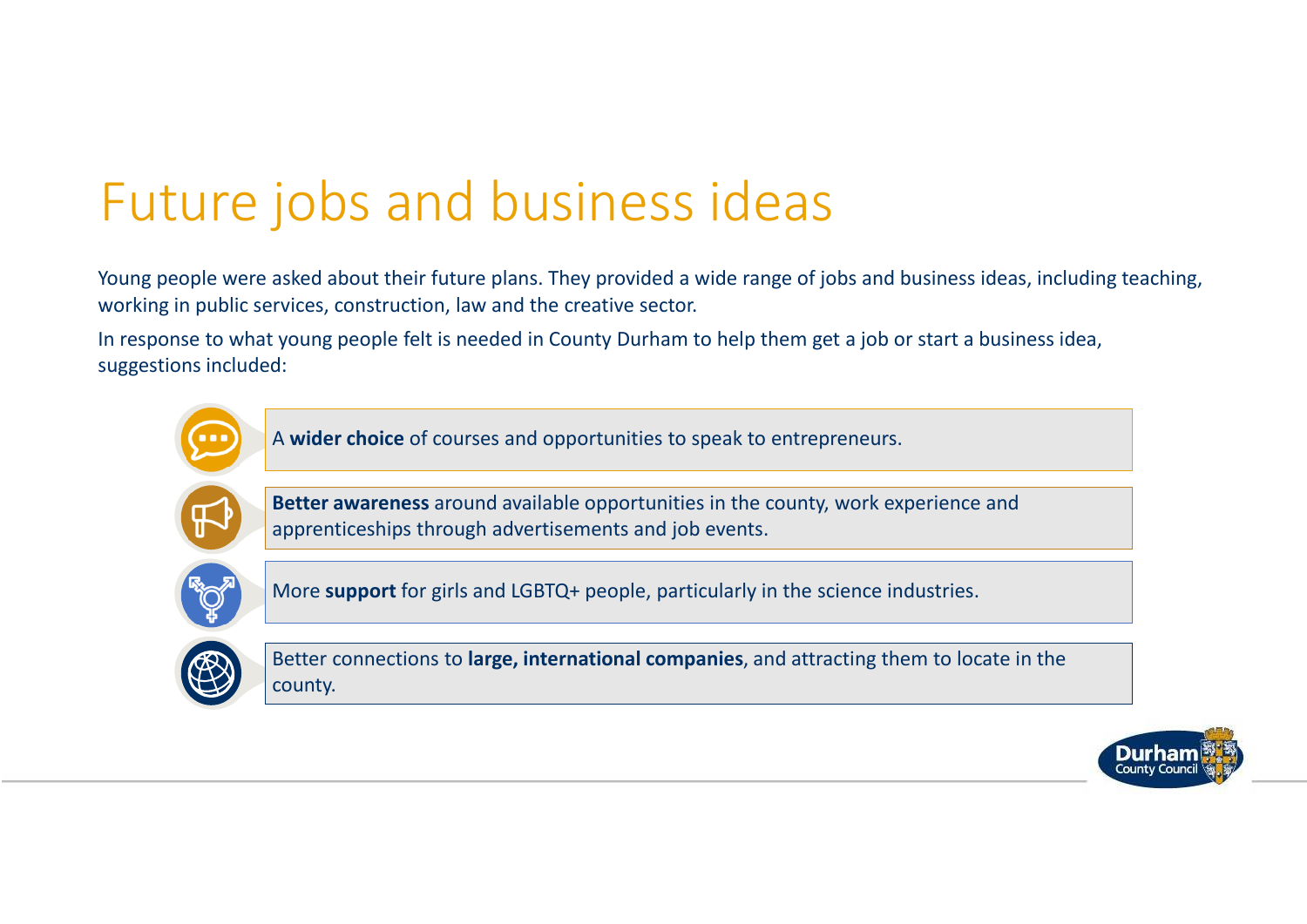### Future jobs and business ideas

Young people were asked about their future plans. They provided a wide range of jobs and business ideas, including teaching, working in public services, construction, law and the creative sector.

In response to what young people felt is needed in County Durham to help them get a job or start a business idea, suggestions included:



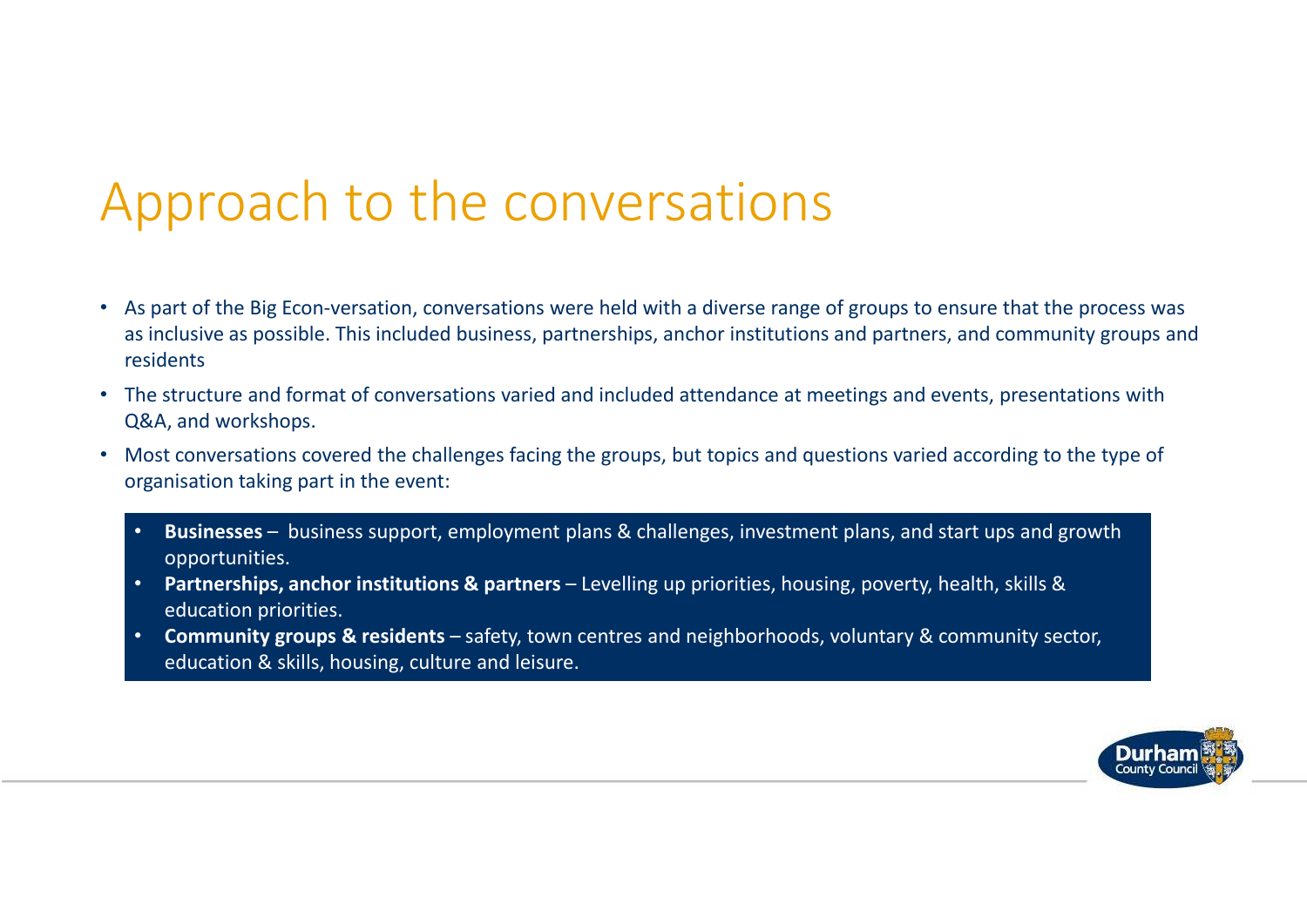### Approach to the conversations

- As part of the Big Econ-versation, conversations were held with a diverse range of groups to ensure that the process was as inclusive as possible. This included business, partnerships, anchor institutions and partners, and community groups and residents
- The structure and format of conversations varied and included attendance at meetings and events, presentations with Q&A, and workshops.
- • Most conversations covered the challenges facing the groups, but topics and questions varied according to the type of organisation taking part in the event:
	- • **Businesses** – business support, employment plans & challenges, investment plans, and start ups and growth opportunities.
	- **Partnerships, anchor institutions & partners**  Levelling up priorities, housing, poverty, health, skills & education priorities.
	- **Community groups & residents**  safety, town centres and neighborhoods, voluntary & community sector, education & skills, housing, culture and leisure.

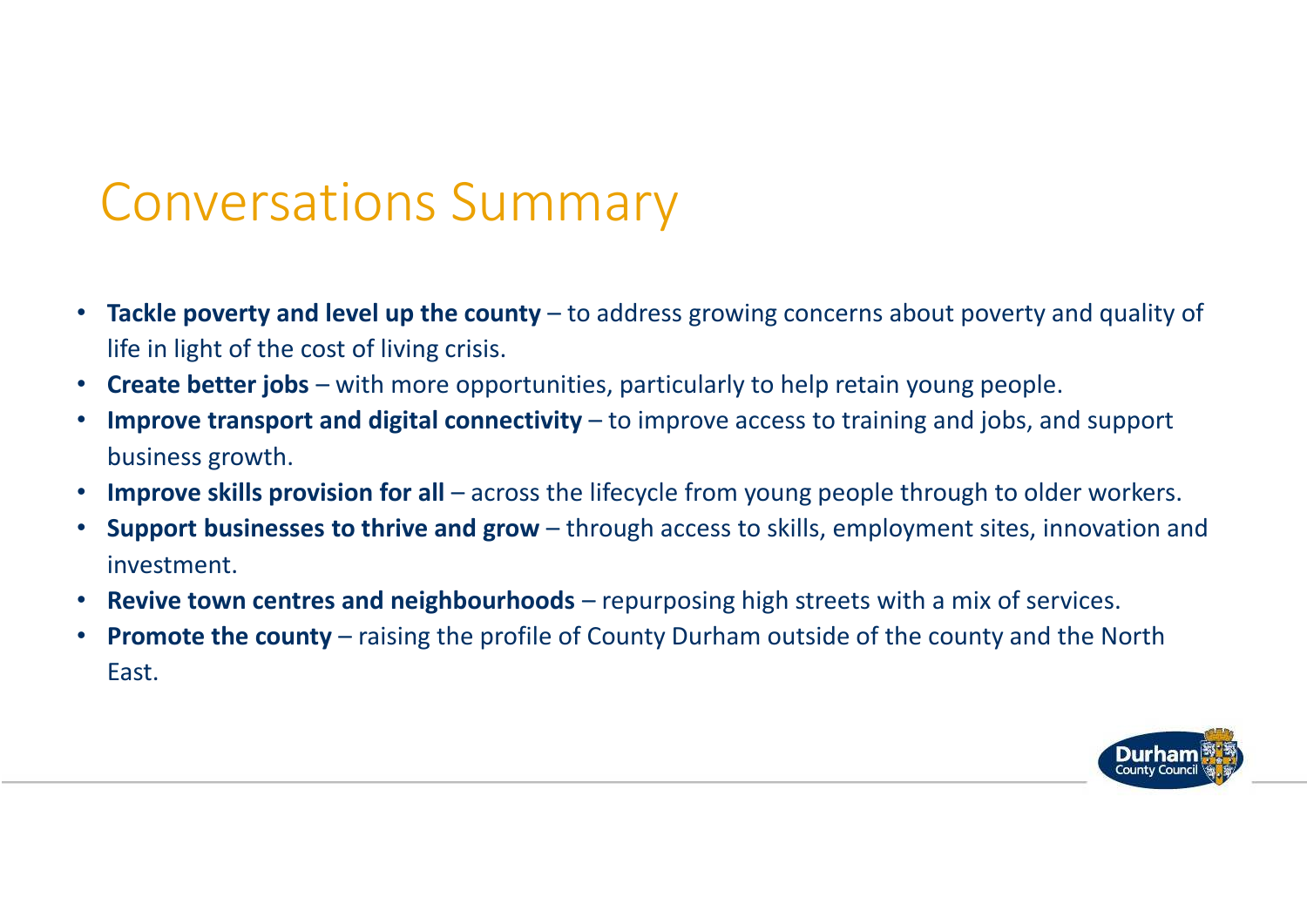#### Conversations Summary

- •**Tackle poverty and level up the county** – to address growing concerns about poverty and quality of life in light of the cost of living crisis.
- $\bullet$ **Create better jobs** – with more opportunities, particularly to help retain young people.
- •Improve transport and digital connectivity – to improve access to training and jobs, and support business growth.
- •Improve skills provision for all – across the lifecycle from young people through to older workers.
- • **Support businesses to thrive and grow** – through access to skills, employment sites, innovation and investment.
- •**Revive town centres and neighbourhoods** – repurposing high streets with a mix of services.
- $\bullet$ **Promote the county** – raising the profile of County Durham outside of the county and the North East.